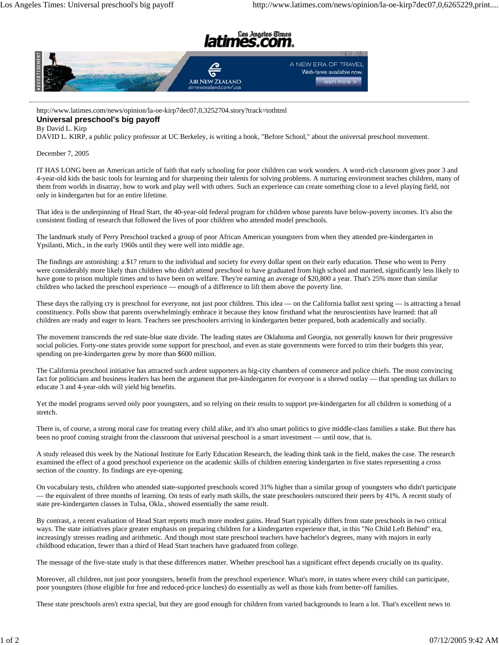



http://www.latimes.com/news/opinion/la-oe-kirp7dec07,0,3252704.story?track=tothtml **Universal preschool's big payoff**

## By David L. Kirp

DAVID L. KIRP, a public policy professor at UC Berkeley, is writing a book, "Before School," about the universal preschool movement.

December 7, 2005

IT HAS LONG been an American article of faith that early schooling for poor children can work wonders. A word-rich classroom gives poor 3 and 4-year-old kids the basic tools for learning and for sharpening their talents for solving problems. A nurturing environment teaches children, many of them from worlds in disarray, how to work and play well with others. Such an experience can create something close to a level playing field, not only in kindergarten but for an entire lifetime.

That idea is the underpinning of Head Start, the 40-year-old federal program for children whose parents have below-poverty incomes. It's also the consistent finding of research that followed the lives of poor children who attended model preschools.

The landmark study of Perry Preschool tracked a group of poor African American youngsters from when they attended pre-kindergarten in Ypsilanti, Mich., in the early 1960s until they were well into middle age.

The findings are astonishing: a \$17 return to the individual and society for every dollar spent on their early education. Those who went to Perry were considerably more likely than children who didn't attend preschool to have graduated from high school and married, significantly less likely to have gone to prison multiple times and to have been on welfare. They're earning an average of \$20,800 a year. That's 25% more than similar children who lacked the preschool experience — enough of a difference to lift them above the poverty line.

These days the rallying cry is preschool for everyone, not just poor children. This idea — on the California ballot next spring — is attracting a broad constituency. Polls show that parents overwhelmingly embrace it because they know firsthand what the neuroscientists have learned: that all children are ready and eager to learn. Teachers see preschoolers arriving in kindergarten better prepared, both academically and socially.

The movement transcends the red state-blue state divide. The leading states are Oklahoma and Georgia, not generally known for their progressive social policies. Forty-one states provide some support for preschool, and even as state governments were forced to trim their budgets this year, spending on pre-kindergarten grew by more than \$600 million.

The California preschool initiative has attracted such ardent supporters as big-city chambers of commerce and police chiefs. The most convincing fact for politicians and business leaders has been the argument that pre-kindergarten for everyone is a shrewd outlay — that spending tax dollars to educate 3 and 4-year-olds will yield big benefits.

Yet the model programs served only poor youngsters, and so relying on their results to support pre-kindergarten for all children is something of a stretch.

There is, of course, a strong moral case for treating every child alike, and it's also smart politics to give middle-class families a stake. But there has been no proof coming straight from the classroom that universal preschool is a smart investment — until now, that is.

A study released this week by the National Institute for Early Education Research, the leading think tank in the field, makes the case. The research examined the effect of a good preschool experience on the academic skills of children entering kindergarten in five states representing a cross section of the country. Its findings are eye-opening.

On vocabulary tests, children who attended state-supported preschools scored 31% higher than a similar group of youngsters who didn't participate — the equivalent of three months of learning. On tests of early math skills, the state preschoolers outscored their peers by 41%. A recent study of state pre-kindergarten classes in Tulsa, Okla., showed essentially the same result.

By contrast, a recent evaluation of Head Start reports much more modest gains. Head Start typically differs from state preschools in two critical ways. The state initiatives place greater emphasis on preparing children for a kindergarten experience that, in this "No Child Left Behind" era, increasingly stresses reading and arithmetic. And though most state preschool teachers have bachelor's degrees, many with majors in early childhood education, fewer than a third of Head Start teachers have graduated from college.

The message of the five-state study is that these differences matter. Whether preschool has a significant effect depends crucially on its quality.

Moreover, all children, not just poor youngsters, benefit from the preschool experience. What's more, in states where every child can participate, poor youngsters (those eligible for free and reduced-price lunches) do essentially as well as those kids from better-off families.

These state preschools aren't extra special, but they are good enough for children from varied backgrounds to learn a lot. That's excellent news to